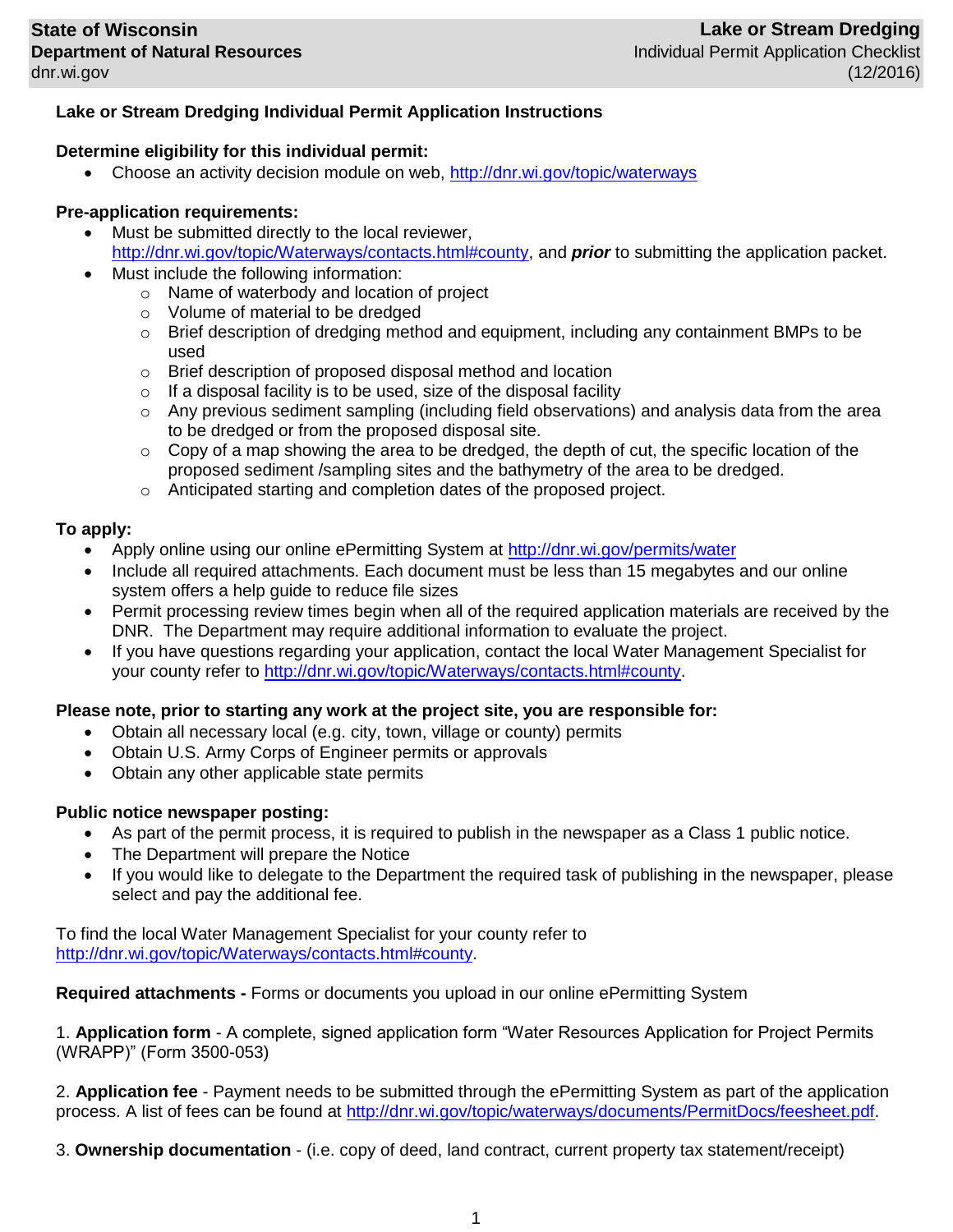# **Lake or Stream Dredging Individual Permit Application Instructions**

### **Determine eligibility for this individual permit:**

Choose an activity decision module on web,<http://dnr.wi.gov/topic/waterways>

## **Pre-application requirements:**

- Must be submitted directly to the local reviewer, [http://dnr.wi.gov/topic/Waterways/contacts.html#county,](http://dnr.wi.gov/topic/Waterways/contacts.html#county) and *prior* to submitting the application packet.
- Must include the following information:
	- o Name of waterbody and location of project
	- o Volume of material to be dredged
	- o Brief description of dredging method and equipment, including any containment BMPs to be used
	- o Brief description of proposed disposal method and location
	- $\circ$  If a disposal facility is to be used, size of the disposal facility
	- $\circ$  Any previous sediment sampling (including field observations) and analysis data from the area to be dredged or from the proposed disposal site.
	- $\circ$  Copy of a map showing the area to be dredged, the depth of cut, the specific location of the proposed sediment /sampling sites and the bathymetry of the area to be dredged.
	- o Anticipated starting and completion dates of the proposed project.

### **To apply:**

- Apply online using our online ePermitting System at<http://dnr.wi.gov/permits/water>
- Include all required attachments. Each document must be less than 15 megabytes and our online system offers a help guide to reduce file sizes
- Permit processing review times begin when all of the required application materials are received by the DNR. The Department may require additional information to evaluate the project.
- If you have questions regarding your application, contact the local Water Management Specialist for your county refer to [http://dnr.wi.gov/topic/Waterways/contacts.html#county.](http://dnr.wi.gov/topic/Waterways/contacts.html#county)

### **Please note, prior to starting any work at the project site, you are responsible for:**

- Obtain all necessary local (e.g. city, town, village or county) permits
- Obtain U.S. Army Corps of Engineer permits or approvals
- Obtain any other applicable state permits

### **Public notice newspaper posting:**

- As part of the permit process, it is required to publish in the newspaper as a Class 1 public notice.
- The Department will prepare the Notice
- If you would like to delegate to the Department the required task of publishing in the newspaper, please select and pay the additional fee.

To find the local Water Management Specialist for your county refer to [http://dnr.wi.gov/topic/Waterways/contacts.html#county.](http://dnr.wi.gov/topic/Waterways/contacts.html#county)

**Required attachments -** Forms or documents you upload in our online ePermitting System

1. **Application form** - A complete, signed application form "Water Resources Application for Project Permits (WRAPP)" (Form 3500-053)

2. **Application fee** - Payment needs to be submitted through the ePermitting System as part of the application process. A list of fees can be found at [http://dnr.wi.gov/topic/waterways/documents/PermitDocs/feesheet.pdf.](http://dnr.wi.gov/topic/waterways/documents/PermitDocs/feesheet.pdf)

3. **Ownership documentation** - (i.e. copy of deed, land contract, current property tax statement/receipt)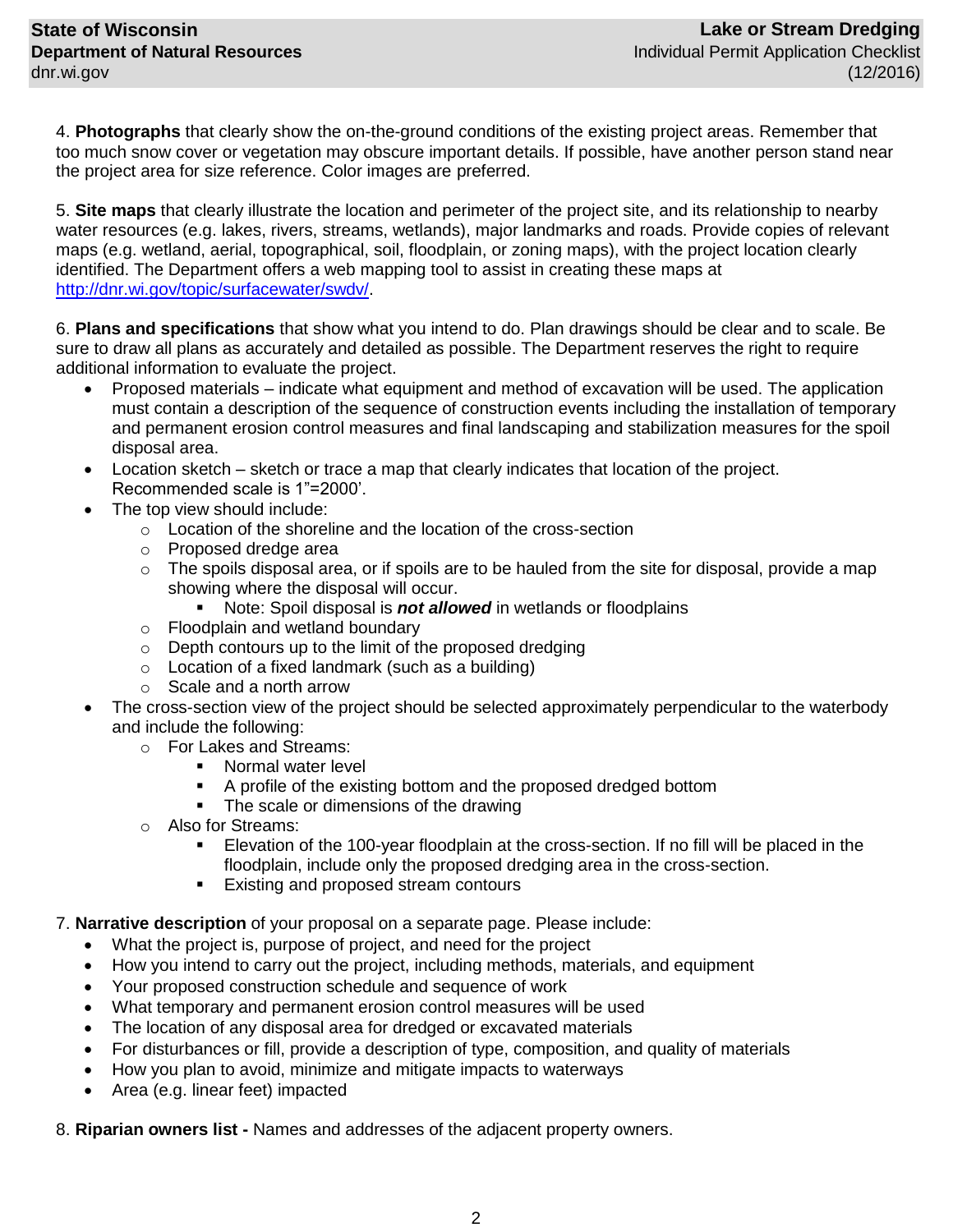4. **Photographs** that clearly show the on-the-ground conditions of the existing project areas. Remember that too much snow cover or vegetation may obscure important details. If possible, have another person stand near the project area for size reference. Color images are preferred.

5. **Site maps** that clearly illustrate the location and perimeter of the project site, and its relationship to nearby water resources (e.g. lakes, rivers, streams, wetlands), major landmarks and roads. Provide copies of relevant maps (e.g. wetland, aerial, topographical, soil, floodplain, or zoning maps), with the project location clearly identified. The Department offers a web mapping tool to assist in creating these maps at [http://dnr.wi.gov/topic/surfacewater/swdv/.](http://dnr.wi.gov/topic/surfacewater/swdv/)

6. **Plans and specifications** that show what you intend to do. Plan drawings should be clear and to scale. Be sure to draw all plans as accurately and detailed as possible. The Department reserves the right to require additional information to evaluate the project.

- Proposed materials indicate what equipment and method of excavation will be used. The application must contain a description of the sequence of construction events including the installation of temporary and permanent erosion control measures and final landscaping and stabilization measures for the spoil disposal area.
- Location sketch sketch or trace a map that clearly indicates that location of the project. Recommended scale is 1"=2000'.
- The top view should include:
	- o Location of the shoreline and the location of the cross-section
	- o Proposed dredge area
	- $\circ$  The spoils disposal area, or if spoils are to be hauled from the site for disposal, provide a map showing where the disposal will occur.
		- Note: Spoil disposal is *not allowed* in wetlands or floodplains
	- o Floodplain and wetland boundary
	- $\circ$  Depth contours up to the limit of the proposed dredging
	- $\circ$  Location of a fixed landmark (such as a building)
	- o Scale and a north arrow
- The cross-section view of the project should be selected approximately perpendicular to the waterbody and include the following:
	- o For Lakes and Streams:
		- Normal water level
		- A profile of the existing bottom and the proposed dredged bottom
		- The scale or dimensions of the drawing
	- o Also for Streams:
		- Elevation of the 100-year floodplain at the cross-section. If no fill will be placed in the floodplain, include only the proposed dredging area in the cross-section.
		- **Existing and proposed stream contours**
- 7. **Narrative description** of your proposal on a separate page. Please include:
	- What the project is, purpose of project, and need for the project
	- How you intend to carry out the project, including methods, materials, and equipment
	- Your proposed construction schedule and sequence of work
	- What temporary and permanent erosion control measures will be used
	- The location of any disposal area for dredged or excavated materials
	- For disturbances or fill, provide a description of type, composition, and quality of materials
	- How you plan to avoid, minimize and mitigate impacts to waterways
	- Area (e.g. linear feet) impacted

8. **Riparian owners list -** Names and addresses of the adjacent property owners.